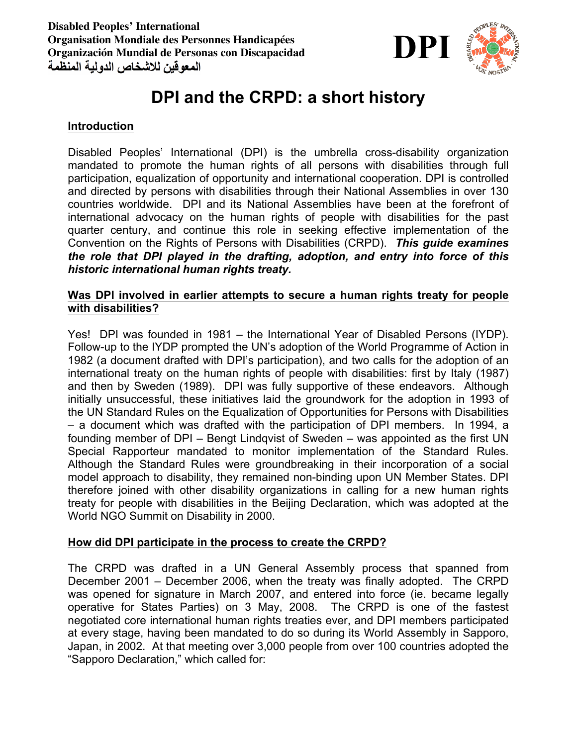

# **DPI and the CRPD: a short history**

### **Introduction**

Disabled Peoples' International (DPI) is the umbrella cross-disability organization mandated to promote the human rights of all persons with disabilities through full participation, equalization of opportunity and international cooperation. DPI is controlled and directed by persons with disabilities through their National Assemblies in over 130 countries worldwide. DPI and its National Assemblies have been at the forefront of international advocacy on the human rights of people with disabilities for the past quarter century, and continue this role in seeking effective implementation of the Convention on the Rights of Persons with Disabilities (CRPD). *This guide examines the role that DPI played in the drafting, adoption, and entry into force of this historic international human rights treaty.*

#### **Was DPI involved in earlier attempts to secure a human rights treaty for people with disabilities?**

Yes! DPI was founded in 1981 – the International Year of Disabled Persons (IYDP). Follow-up to the IYDP prompted the UN's adoption of the World Programme of Action in 1982 (a document drafted with DPI's participation), and two calls for the adoption of an international treaty on the human rights of people with disabilities: first by Italy (1987) and then by Sweden (1989). DPI was fully supportive of these endeavors. Although initially unsuccessful, these initiatives laid the groundwork for the adoption in 1993 of the UN Standard Rules on the Equalization of Opportunities for Persons with Disabilities – a document which was drafted with the participation of DPI members. In 1994, a founding member of DPI – Bengt Lindqvist of Sweden – was appointed as the first UN Special Rapporteur mandated to monitor implementation of the Standard Rules. Although the Standard Rules were groundbreaking in their incorporation of a social model approach to disability, they remained non-binding upon UN Member States. DPI therefore joined with other disability organizations in calling for a new human rights treaty for people with disabilities in the Beijing Declaration, which was adopted at the World NGO Summit on Disability in 2000.

#### **How did DPI participate in the process to create the CRPD?**

The CRPD was drafted in a UN General Assembly process that spanned from December 2001 – December 2006, when the treaty was finally adopted. The CRPD was opened for signature in March 2007, and entered into force (ie. became legally operative for States Parties) on 3 May, 2008. The CRPD is one of the fastest negotiated core international human rights treaties ever, and DPI members participated at every stage, having been mandated to do so during its World Assembly in Sapporo, Japan, in 2002. At that meeting over 3,000 people from over 100 countries adopted the "Sapporo Declaration," which called for: